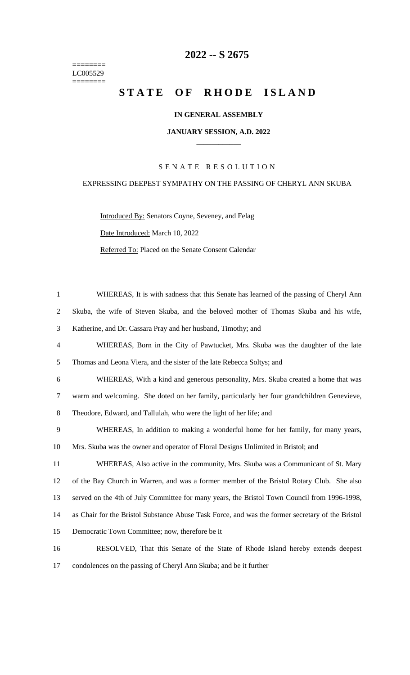======== LC005529 ========

# **2022 -- S 2675**

# STATE OF RHODE ISLAND

# **IN GENERAL ASSEMBLY**

#### **JANUARY SESSION, A.D. 2022 \_\_\_\_\_\_\_\_\_\_\_\_**

# S E N A T E R E S O L U T I O N

## EXPRESSING DEEPEST SYMPATHY ON THE PASSING OF CHERYL ANN SKUBA

Introduced By: Senators Coyne, Seveney, and Felag Date Introduced: March 10, 2022 Referred To: Placed on the Senate Consent Calendar

 WHEREAS, It is with sadness that this Senate has learned of the passing of Cheryl Ann Skuba, the wife of Steven Skuba, and the beloved mother of Thomas Skuba and his wife, Katherine, and Dr. Cassara Pray and her husband, Timothy; and WHEREAS, Born in the City of Pawtucket, Mrs. Skuba was the daughter of the late Thomas and Leona Viera, and the sister of the late Rebecca Soltys; and WHEREAS, With a kind and generous personality, Mrs. Skuba created a home that was warm and welcoming. She doted on her family, particularly her four grandchildren Genevieve, Theodore, Edward, and Tallulah, who were the light of her life; and WHEREAS, In addition to making a wonderful home for her family, for many years, Mrs. Skuba was the owner and operator of Floral Designs Unlimited in Bristol; and WHEREAS, Also active in the community, Mrs. Skuba was a Communicant of St. Mary of the Bay Church in Warren, and was a former member of the Bristol Rotary Club. She also served on the 4th of July Committee for many years, the Bristol Town Council from 1996-1998, as Chair for the Bristol Substance Abuse Task Force, and was the former secretary of the Bristol Democratic Town Committee; now, therefore be it RESOLVED, That this Senate of the State of Rhode Island hereby extends deepest

17 condolences on the passing of Cheryl Ann Skuba; and be it further